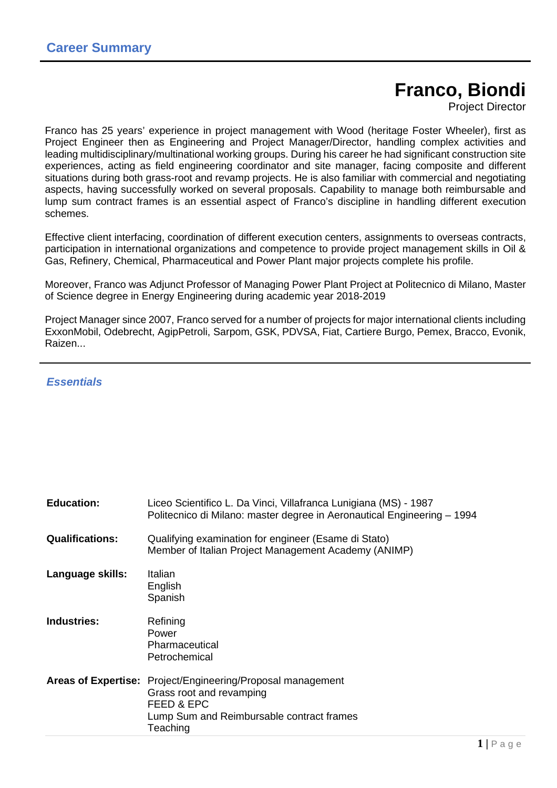# **Franco, Biondi**

Project Director

Franco has 25 years' experience in project management with Wood (heritage Foster Wheeler), first as Project Engineer then as Engineering and Project Manager/Director, handling complex activities and leading multidisciplinary/multinational working groups. During his career he had significant construction site experiences, acting as field engineering coordinator and site manager, facing composite and different situations during both grass-root and revamp projects. He is also familiar with commercial and negotiating aspects, having successfully worked on several proposals. Capability to manage both reimbursable and lump sum contract frames is an essential aspect of Franco's discipline in handling different execution schemes.

Effective client interfacing, coordination of different execution centers, assignments to overseas contracts, participation in international organizations and competence to provide project management skills in Oil & Gas, Refinery, Chemical, Pharmaceutical and Power Plant major projects complete his profile.

Moreover, Franco was Adjunct Professor of Managing Power Plant Project at Politecnico di Milano, Master of Science degree in Energy Engineering during academic year 2018-2019

Project Manager since 2007, Franco served for a number of projects for major international clients including ExxonMobil, Odebrecht, AgipPetroli, Sarpom, GSK, PDVSA, Fiat, Cartiere Burgo, Pemex, Bracco, Evonik, Raizen...

## **Essentials**

| <b>Education:</b>          | Liceo Scientifico L. Da Vinci, Villafranca Lunigiana (MS) - 1987<br>Politecnico di Milano: master degree in Aeronautical Engineering - 1994 |
|----------------------------|---------------------------------------------------------------------------------------------------------------------------------------------|
| <b>Qualifications:</b>     | Qualifying examination for engineer (Esame di Stato)<br>Member of Italian Project Management Academy (ANIMP)                                |
| Language skills:           | Italian<br>English<br>Spanish                                                                                                               |
| <b>Industries:</b>         | Refining<br>Power<br>Pharmaceutical<br>Petrochemical                                                                                        |
| <b>Areas of Expertise:</b> | Project/Engineering/Proposal management<br>Grass root and revamping<br>FEED & EPC<br>Lump Sum and Reimbursable contract frames<br>Teaching  |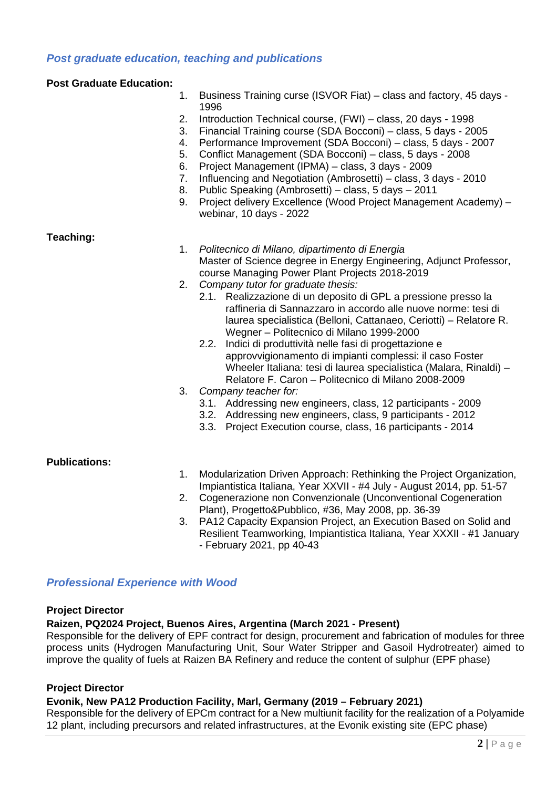# **Post graduate education, teaching and publications**

#### **Post Graduate Education:**

- 1. Business Training curse (ISVOR Fiat) class and factory, 45 days 1996
- 2. Introduction Technical course, (FWI) class, 20 days 1998
- 3. Financial Training course (SDA Bocconi) class, 5 days 2005
- 4. Performance Improvement (SDA Bocconi) class, 5 days 2007
- 5. Conflict Management (SDA Bocconi) class, 5 days 2008
- 6. Project Management (IPMA) class, 3 days 2009
- 7. Influencing and Negotiation (Ambrosetti) class, 3 days 2010
- 8. Public Speaking (Ambrosetti) class, 5 days 2011
- 9. Project delivery Excellence (Wood Project Management Academy) webinar, 10 days - 2022

## **Teaching:**

- 1. Politecnico di Milano, dipartimento di Energia Master of Science degree in Energy Engineering, Adjunct Professor, course Managing Power Plant Projects 2018-2019
- 2. Company tutor for graduate thesis:
	- 2.1. Realizzazione di un deposito di GPL a pressione presso la raffineria di Sannazzaro in accordo alle nuove norme: tesi di laurea specialistica (Belloni, Cattanaeo, Ceriotti) – Relatore R. Wegner – Politecnico di Milano 1999-2000
	- 2.2. Indici di produttività nelle fasi di progettazione e approvvigionamento di impianti complessi: il caso Foster Wheeler Italiana: tesi di laurea specialistica (Malara, Rinaldi) – Relatore F. Caron – Politecnico di Milano 2008-2009
- 3. Company teacher for:
	- 3.1. Addressing new engineers, class, 12 participants 2009
	- 3.2. Addressing new engineers, class, 9 participants 2012
	- 3.3. Project Execution course, class, 16 participants 2014

## **Publications:**

- 1. Modularization Driven Approach: Rethinking the Project Organization, Impiantistica Italiana, Year XXVII - #4 July - August 2014, pp. 51-57
- 2. Cogenerazione non Convenzionale (Unconventional Cogeneration Plant), Progetto&Pubblico, #36, May 2008, pp. 36-39
- 3. PA12 Capacity Expansion Project, an Execution Based on Solid and Resilient Teamworking, Impiantistica Italiana, Year XXXII - #1 January - February 2021, pp 40-43

# **Professional Experience with Wood**

#### **Project Director**

## **Raizen, PQ2024 Project, Buenos Aires, Argentina (March 2021 - Present)**

Responsible for the delivery of EPF contract for design, procurement and fabrication of modules for three process units (Hydrogen Manufacturing Unit, Sour Water Stripper and Gasoil Hydrotreater) aimed to improve the quality of fuels at Raizen BA Refinery and reduce the content of sulphur (EPF phase)

## **Project Director**

## **Evonik, New PA12 Production Facility, Marl, Germany (2019 – February 2021)**

Responsible for the delivery of EPCm contract for a New multiunit facility for the realization of a Polyamide 12 plant, including precursors and related infrastructures, at the Evonik existing site (EPC phase)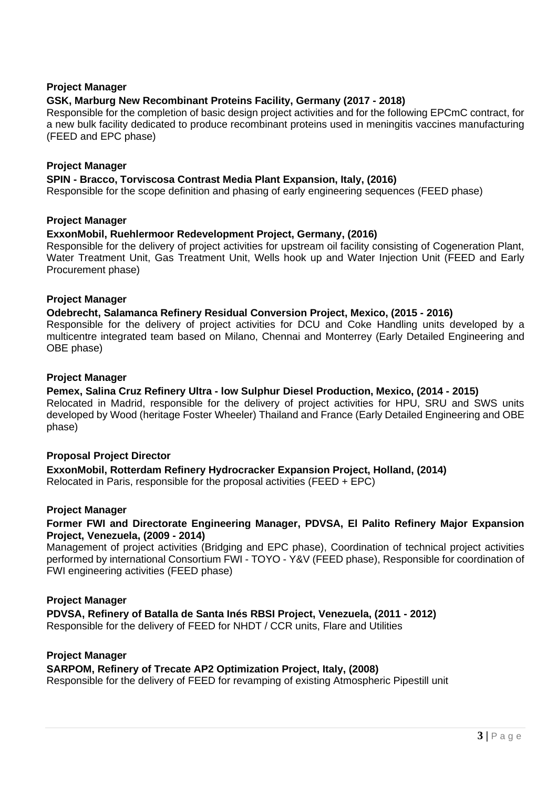## **Project Manager**

## **GSK, Marburg New Recombinant Proteins Facility, Germany (2017 - 2018)**

Responsible for the completion of basic design project activities and for the following EPCmC contract, for a new bulk facility dedicated to produce recombinant proteins used in meningitis vaccines manufacturing (FEED and EPC phase)

#### **Project Manager**

## **SPIN - Bracco, Torviscosa Contrast Media Plant Expansion, Italy, (2016)**

Responsible for the scope definition and phasing of early engineering sequences (FEED phase)

## **Project Manager**

## **ExxonMobil, Ruehlermoor Redevelopment Project, Germany, (2016)**

Responsible for the delivery of project activities for upstream oil facility consisting of Cogeneration Plant, Water Treatment Unit, Gas Treatment Unit, Wells hook up and Water Injection Unit (FEED and Early Procurement phase)

## **Project Manager**

## **Odebrecht, Salamanca Refinery Residual Conversion Project, Mexico, (2015 - 2016)**

Responsible for the delivery of project activities for DCU and Coke Handling units developed by a multicentre integrated team based on Milano, Chennai and Monterrey (Early Detailed Engineering and OBE phase)

## **Project Manager**

## **Pemex, Salina Cruz Refinery Ultra - low Sulphur Diesel Production, Mexico, (2014 - 2015)**

Relocated in Madrid, responsible for the delivery of project activities for HPU, SRU and SWS units developed by Wood (heritage Foster Wheeler) Thailand and France (Early Detailed Engineering and OBE phase)

## **Proposal Project Director**

**ExxonMobil, Rotterdam Refinery Hydrocracker Expansion Project, Holland, (2014)**  Relocated in Paris, responsible for the proposal activities (FEED + EPC)

#### **Project Manager**

## **Former FWI and Directorate Engineering Manager, PDVSA, El Palito Refinery Major Expansion Project, Venezuela, (2009 - 2014)**

Management of project activities (Bridging and EPC phase), Coordination of technical project activities performed by international Consortium FWI - TOYO - Y&V (FEED phase), Responsible for coordination of FWI engineering activities (FEED phase)

#### **Project Manager**

#### **PDVSA, Refinery of Batalla de Santa Inés RBSI Project, Venezuela, (2011 - 2012)**  Responsible for the delivery of FEED for NHDT / CCR units, Flare and Utilities

#### **Project Manager**

#### **SARPOM, Refinery of Trecate AP2 Optimization Project, Italy, (2008)**

Responsible for the delivery of FEED for revamping of existing Atmospheric Pipestill unit